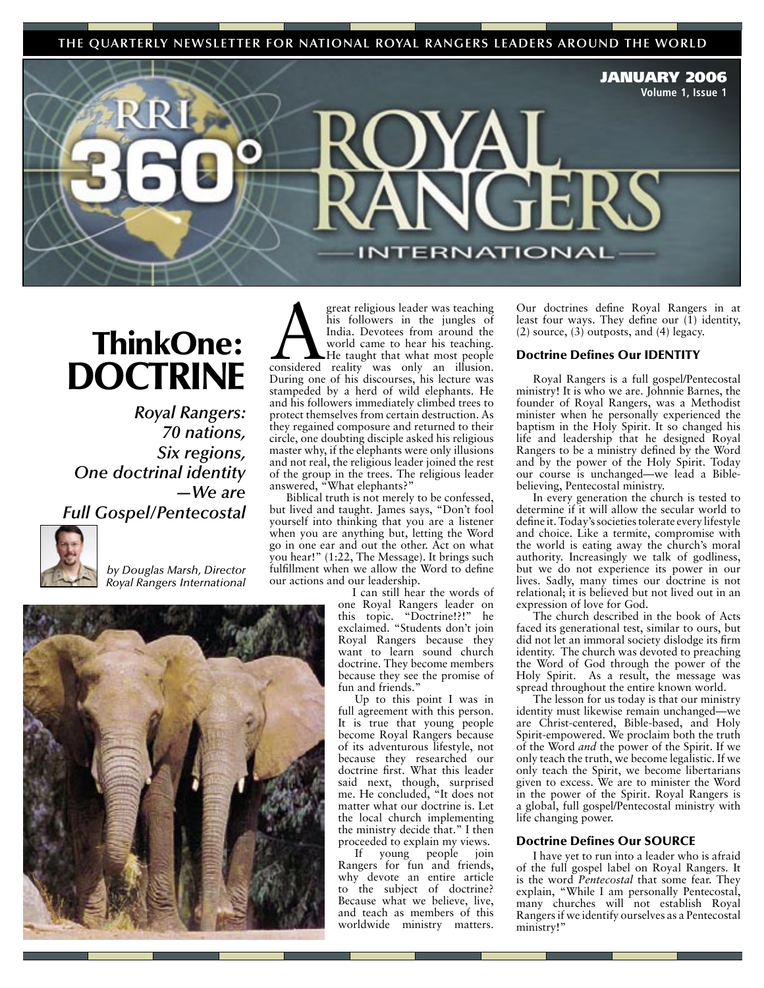**THE QUARTERLY NEWSLETTER FOR NATIONAL ROYAL RANGERS LEADERS AROUND THE WORLD**

JANUARY 2006 **Volume 1, Issue 1**

# ThinkOne: **DOCTRINE**

*Royal Rangers: 70 nations, Six regions, One doctrinal identity —We are Full Gospel/Pentecostal*



*by Douglas Marsh, Director Royal Rangers International*



great religious leader was teaching<br>
his followers in the jungles of<br>
India. Devotees from around the<br>
world came to hear his teaching.<br>
He taught that what most people<br>
considered reality was only an illusion. his followers in the jungles of India. Devotees from around the world came to hear his teaching. He taught that what most people During one of his discourses, his lecture was stampeded by a herd of wild elephants. He and his followers immediately climbed trees to protect themselves from certain destruction. As they regained composure and returned to their circle, one doubting disciple asked his religious master why, if the elephants were only illusions and not real, the religious leader joined the rest of the group in the trees. The religious leader answered, "What elephants?"

Biblical truth is not merely to be confessed, but lived and taught. James says, "Don't fool yourself into thinking that you are a listener when you are anything but, letting the Word go in one ear and out the other. Act on what you hear!" (1:22, The Message). It brings such fulfillment when we allow the Word to define our actions and our leadership.

I can still hear the words of one Royal Rangers leader on this topic. "Doctrine!?!" he exclaimed. "Students don't join Royal Rangers because they want to learn sound church doctrine. They become members because they see the promise of fun and friends."

Up to this point I was in full agreement with this person. It is true that young people become Royal Rangers because of its adventurous lifestyle, not because they researched our doctrine first. What this leader said next, though, surprised me. He concluded, "It does not matter what our doctrine is. Let the local church implementing the ministry decide that." I then proceeded to explain my views.

If young people join Rangers for fun and friends, why devote an entire article to the subject of doctrine? Because what we believe, live, and teach as members of this worldwide ministry matters.

Our doctrines define Royal Rangers in at least four ways. They define our  $(1)$  identity, (2) source, (3) outposts, and (4) legacy.

### Doctrine Defines Our IDENTITY

**ERNATIONAL** 

Royal Rangers is a full gospel/Pentecostal ministry! It is who we are. Johnnie Barnes, the founder of Royal Rangers, was a Methodist minister when he personally experienced the baptism in the Holy Spirit. It so changed his life and leadership that he designed Royal Rangers to be a ministry defined by the Word and by the power of the Holy Spirit. Today our course is unchanged—we lead a Biblebelieving, Pentecostal ministry.

In every generation the church is tested to determine if it will allow the secular world to define it. Today's societies tolerate every lifestyle and choice. Like a termite, compromise with the world is eating away the church's moral authority. Increasingly we talk of godliness, but we do not experience its power in our lives. Sadly, many times our doctrine is not relational; it is believed but not lived out in an expression of love for God.

The church described in the book of Acts faced its generational test, similar to ours, but did not let an immoral society dislodge its firm identity. The church was devoted to preaching the Word of God through the power of the Holy Spirit. As a result, the message was spread throughout the entire known world.

The lesson for us today is that our ministry identity must likewise remain unchanged—we are Christ-centered, Bible-based, and Holy Spirit-empowered. We proclaim both the truth of the Word *and* the power of the Spirit. If we only teach the truth, we become legalistic. If we only teach the Spirit, we become libertarians given to excess. We are to minister the Word in the power of the Spirit. Royal Rangers is a global, full gospel/Pentecostal ministry with life changing power.

### Doctrine Defines Our SOURCE

I have yet to run into a leader who is afraid of the full gospel label on Royal Rangers. It is the word *Pentecostal* that some fear. They explain, "While I am personally Pentecostal, many churches will not establish Royal Rangers if we identify ourselves as a Pentecostal ministry!"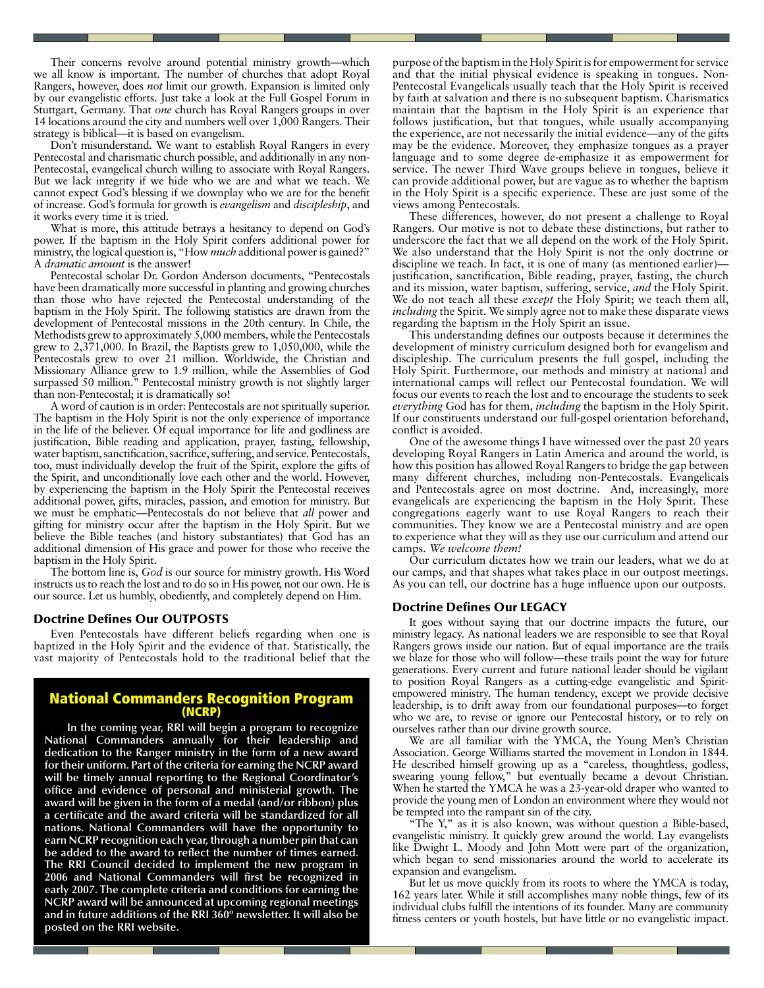Their concerns revolve around potential ministry growth—which we all know is important. The number of churches that adopt Royal Rangers, however, does *not* limit our growth. Expansion is limited only by our evangelistic efforts. Just take a look at the Full Gospel Forum in Stuttgart, Germany. That *one* church has Royal Rangers groups in over 14 locations around the city and numbers well over 1,000 Rangers. Their strategy is biblical—it is based on evangelism.

Don't misunderstand. We want to establish Royal Rangers in every Pentecostal and charismatic church possible, and additionally in any non-Pentecostal, evangelical church willing to associate with Royal Rangers. But we lack integrity if we hide who we are and what we teach. We cannot expect God's blessing if we downplay who we are for the benefit of increase. God's formula for growth is *evangelism* and *discipleship*, and it works every time it is tried.

What is more, this attitude betrays a hesitancy to depend on God's power. If the baptism in the Holy Spirit confers additional power for ministry, the logical question is, "How *much* additional power is gained?" A *dramatic amount* is the answer!

Pentecostal scholar Dr. Gordon Anderson documents, "Pentecostals have been dramatically more successful in planting and growing churches than those who have rejected the Pentecostal understanding of the baptism in the Holy Spirit. The following statistics are drawn from the development of Pentecostal missions in the 20th century. In Chile, the Methodists grew to approximately 5,000 members, while the Pentecostals grew to 2,371,000. In Brazil, the Baptists grew to 1,050,000, while the Pentecostals grew to over 21 million. Worldwide, the Christian and Missionary Alliance grew to 1.9 million, while the Assemblies of God surpassed 50 million." Pentecostal ministry growth is not slightly larger than non-Pentecostal; it is dramatically so!

A word of caution is in order: Pentecostals are not spiritually superior. The baptism in the Holy Spirit is not the only experience of importance in the life of the believer. Of equal importance for life and godliness are justification, Bible reading and application, prayer, fasting, fellowship, water baptism, sanctification, sacrifice, suffering, and service. Pentecostals, too, must individually develop the fruit of the Spirit, explore the gifts of the Spirit, and unconditionally love each other and the world. However, by experiencing the baptism in the Holy Spirit the Pentecostal receives additional power, gifts, miracles, passion, and emotion for ministry. But we must be emphatic—Pentecostals do not believe that *all* power and gifting for ministry occur after the baptism in the Holy Spirit. But we believe the Bible teaches (and history substantiates) that God has an additional dimension of His grace and power for those who receive the baptism in the Holy Spirit.

The bottom line is, *God* is our source for ministry growth. His Word instructs us to reach the lost and to do so in His power, not our own. He is our source. Let us humbly, obediently, and completely depend on Him.

### Doctrine Defines Our OUTPOSTS

Even Pentecostals have different beliefs regarding when one is baptized in the Holy Spirit and the evidence of that. Statistically, the vast majority of Pentecostals hold to the traditional belief that the

## **National Commanders Recognition Program**

**In the coming year, RRI will begin a program to recognize National Commanders annually for their leadership and dedication to the Ranger ministry in the form of a new award for their uniform. Part of the criteria for earning the NCRP award will be timely annual reporting to the Regional Coordinator's office and evidence of personal and ministerial growth. The award will be given in the form of a medal (and/or ribbon) plus a certificate and the award criteria will be standardized for all nations. National Commanders will have the opportunity to earn NCRP recognition each year, through a number pin that can be added to the award to reflect the number of times earned. The RRI Council decided to implement the new program in 2006 and National Commanders will first be recognized in early 2007. The complete criteria and conditions for earning the NCRP award will be announced at upcoming regional meetings and in future additions of the RRI 360º newsletter. It will also be posted on the RRI website.**

purpose of the baptism in the Holy Spirit is for empowerment for service and that the initial physical evidence is speaking in tongues. Non-Pentecostal Evangelicals usually teach that the Holy Spirit is received by faith at salvation and there is no subsequent baptism. Charismatics maintain that the baptism in the Holy Spirit is an experience that follows justification, but that tongues, while usually accompanying the experience, are not necessarily the initial evidence—any of the gifts may be the evidence. Moreover, they emphasize tongues as a prayer language and to some degree de-emphasize it as empowerment for service. The newer Third Wave groups believe in tongues, believe it can provide additional power, but are vague as to whether the baptism in the Holy Spirit is a specific experience. These are just some of the views among Pentecostals.

These differences, however, do not present a challenge to Royal Rangers. Our motive is not to debate these distinctions, but rather to underscore the fact that we all depend on the work of the Holy Spirit. We also understand that the Holy Spirit is not the only doctrine or discipline we teach. In fact, it is one of many (as mentioned earlier) justification, sanctification, Bible reading, prayer, fasting, the church and its mission, water baptism, suffering, service, *and* the Holy Spirit. We do not teach all these *except* the Holy Spirit; we teach them all, *including* the Spirit. We simply agree not to make these disparate views regarding the baptism in the Holy Spirit an issue.

This understanding defines our outposts because it determines the development of ministry curriculum designed both for evangelism and discipleship. The curriculum presents the full gospel, including the Holy Spirit. Furthermore, our methods and ministry at national and international camps will reflect our Pentecostal foundation. We will focus our events to reach the lost and to encourage the students to seek *everything* God has for them, *including* the baptism in the Holy Spirit. If our constituents understand our full-gospel orientation beforehand, conflict is avoided.

One of the awesome things I have witnessed over the past 20 years developing Royal Rangers in Latin America and around the world, is how this position has allowed Royal Rangers to bridge the gap between many different churches, including non-Pentecostals. Evangelicals and Pentecostals agree on most doctrine. And, increasingly, more evangelicals are experiencing the baptism in the Holy Spirit. These congregations eagerly want to use Royal Rangers to reach their communities. They know we are a Pentecostal ministry and are open to experience what they will as they use our curriculum and attend our camps. *We welcome them!*

Our curriculum dictates how we train our leaders, what we do at our camps, and that shapes what takes place in our outpost meetings. As you can tell, our doctrine has a huge influence upon our outposts.

### Doctrine Defines Our LEGACY

It goes without saying that our doctrine impacts the future, our ministry legacy. As national leaders we are responsible to see that Royal Rangers grows inside our nation. But of equal importance are the trails we blaze for those who will follow—these trails point the way for future generations. Every current and future national leader should be vigilant to position Royal Rangers as a cutting-edge evangelistic and Spiritempowered ministry. The human tendency, except we provide decisive leadership, is to drift away from our foundational purposes—to forget who we are, to revise or ignore our Pentecostal history, or to rely on ourselves rather than our divine growth source.

We are all familiar with the YMCA, the Young Men's Christian Association. George Williams started the movement in London in 1844. He described himself growing up as a "careless, thoughtless, godless, swearing young fellow," but eventually became a devout Christian. When he started the YMCA he was a 23-year-old draper who wanted to provide the young men of London an environment where they would not be tempted into the rampant sin of the city.

"The Y," as it is also known, was without question a Bible-based, evangelistic ministry. It quickly grew around the world. Lay evangelists like Dwight L. Moody and John Mott were part of the organization, which began to send missionaries around the world to accelerate its expansion and evangelism.

But let us move quickly from its roots to where the YMCA is today, 162 years later. While it still accomplishes many noble things, few of its individual clubs fulfill the intentions of its founder. Many are community fitness centers or youth hostels, but have little or no evangelistic impact.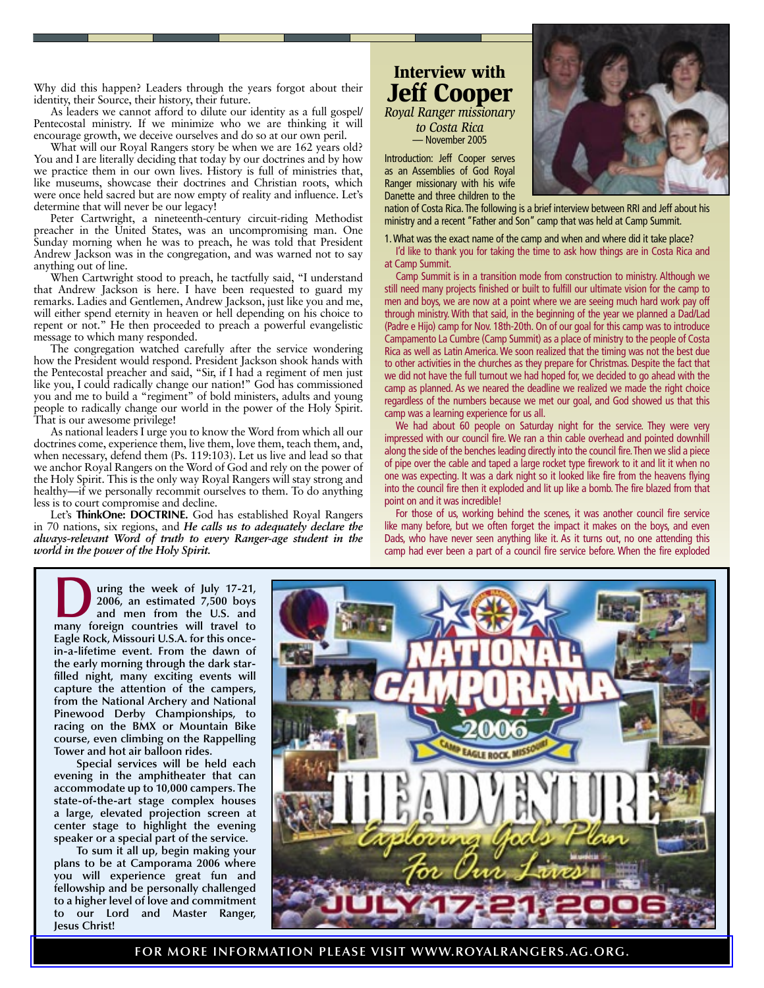Why did this happen? Leaders through the years forgot about their identity, their Source, their history, their future.

As leaders we cannot afford to dilute our identity as a full gospel/ Pentecostal ministry. If we minimize who we are thinking it will encourage growth, we deceive ourselves and do so at our own peril.

What will our Royal Rangers story be when we are 162 years old? You and I are literally deciding that today by our doctrines and by how we practice them in our own lives. History is full of ministries that, like museums, showcase their doctrines and Christian roots, which were once held sacred but are now empty of reality and influence. Let's determine that will never be our legacy!

Peter Cartwright, a nineteenth-century circuit-riding Methodist preacher in the United States, was an uncompromising man. One Sunday morning when he was to preach, he was told that President Andrew Jackson was in the congregation, and was warned not to say anything out of line.

When Cartwright stood to preach, he tactfully said, "I understand that Andrew Jackson is here. I have been requested to guard my remarks. Ladies and Gentlemen, Andrew Jackson, just like you and me, will either spend eternity in heaven or hell depending on his choice to repent or not." He then proceeded to preach a powerful evangelistic message to which many responded.

The congregation watched carefully after the service wondering how the President would respond. President Jackson shook hands with the Pentecostal preacher and said, "Sir, if I had a regiment of men just like you, I could radically change our nation!" God has commissioned you and me to build a "regiment" of bold ministers, adults and young people to radically change our world in the power of the Holy Spirit. That is our awesome privilege!

As national leaders I urge you to know the Word from which all our doctrines come, experience them, live them, love them, teach them, and, when necessary, defend them (Ps. 119:103). Let us live and lead so that we anchor Royal Rangers on the Word of God and rely on the power of the Holy Spirit. This is the only way Royal Rangers will stay strong and healthy—if we personally recommit ourselves to them. To do anything less is to court compromise and decline.

Let's **ThinkOne: DOCTRINE.** God has established Royal Rangers in 70 nations, six regions, and *He calls us to adequately declare the always-relevant Word of truth to every Ranger-age student in the world in the power of the Holy Spirit.*

### Interview with Jeff Cooper *Royal Ranger missionary*

*to Costa Rica* — November 2005

Introduction: Jeff Cooper serves as an Assemblies of God Royal Ranger missionary with his wife Danette and three children to the

nation of Costa Rica. The following is a brief interview between RRI and Jeff about his ministry and a recent "Father and Son" camp that was held at Camp Summit.

1. What was the exact name of the camp and when and where did it take place?

I'd like to thank you for taking the time to ask how things are in Costa Rica and at Camp Summit.

Camp Summit is in a transition mode from construction to ministry. Although we still need many projects finished or built to fulfill our ultimate vision for the camp to men and boys, we are now at a point where we are seeing much hard work pay off through ministry. With that said, in the beginning of the year we planned a Dad/Lad (Padre e Hijo) camp for Nov. 18th-20th. On of our goal for this camp was to introduce Campamento La Cumbre (Camp Summit) as a place of ministry to the people of Costa Rica as well as Latin America. We soon realized that the timing was not the best due to other activities in the churches as they prepare for Christmas. Despite the fact that we did not have the full turnout we had hoped for, we decided to go ahead with the camp as planned. As we neared the deadline we realized we made the right choice regardless of the numbers because we met our goal, and God showed us that this camp was a learning experience for us all.

We had about 60 people on Saturday night for the service. They were very impressed with our council fire. We ran a thin cable overhead and pointed downhill along the side of the benches leading directly into the council fire. Then we slid a piece of pipe over the cable and taped a large rocket type firework to it and lit it when no one was expecting. It was a dark night so it looked like fire from the heavens flying into the council fire then it exploded and lit up like a bomb. The fire blazed from that point on and it was incredible!

For those of us, working behind the scenes, it was another council fire service like many before, but we often forget the impact it makes on the boys, and even Dads, who have never seen anything like it. As it turns out, no one attending this camp had ever been a part of a council fire service before. When the fire exploded

**During the week of July 17-21,**<br>
2006, an estimated 7,500 boys<br>
and men from the U.S. and<br>
many foreign countries will travel to **2006, an estimated 7,500 boys many foreign countries will travel to Eagle Rock, Missouri U.S.A. for this oncein-a-lifetime event. From the dawn of the early morning through the dark starfilled night, many exciting events will capture the attention of the campers, from the National Archery and National Pinewood Derby Championships, to racing on the BMX or Mountain Bike course, even climbing on the Rappelling Tower and hot air balloon rides.**

**Special services will be held each evening in the amphitheater that can accommodate up to 10,000 campers. The state-of-the-art stage complex houses a large, elevated projection screen at center stage to highlight the evening speaker or a special part of the service.** 

**To sum it all up, begin making your plans to be at Camporama 2006 where you will experience great fun and fellowship and be personally challenged to a higher level of love and commitment to our Lord and Master Ranger, Jesus Christ!** 



**[FOR MORE INFORMATION PLEASE VISIT WWW.ROYALRANGERS.AG.ORG.](http://www.royalrangers.ag.org)**